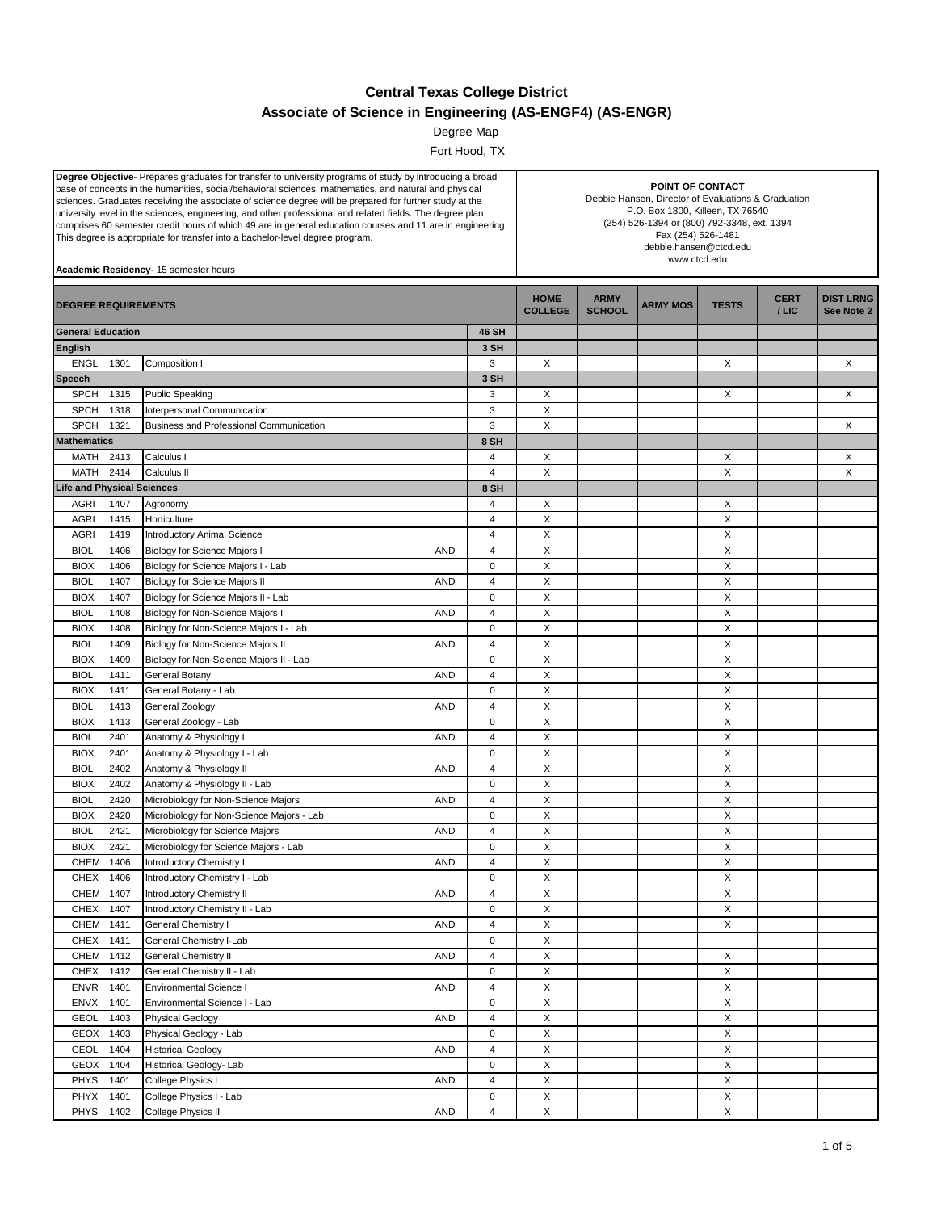## **Central Texas College District Associate of Science in Engineering (AS-ENGF4) (AS-ENGR)**

Degree Map

Fort Hood, TX

| Degree Objective- Prepares graduates for transfer to university programs of study by introducing a broad<br>base of concepts in the humanities, social/behavioral sciences, mathematics, and natural and physical<br>sciences. Graduates receiving the associate of science degree will be prepared for further study at the<br>university level in the sciences, engineering, and other professional and related fields. The degree plan<br>comprises 60 semester credit hours of which 49 are in general education courses and 11 are in engineering.<br>This degree is appropriate for transfer into a bachelor-level degree program.<br>Academic Residency- 15 semester hours |                                                                      |                         | POINT OF CONTACT<br>Debbie Hansen, Director of Evaluations & Graduation<br>P.O. Box 1800, Killeen, TX 76540<br>(254) 526-1394 or (800) 792-3348, ext. 1394<br>Fax (254) 526-1481<br>debbie.hansen@ctcd.edu<br>www.ctcd.edu |  |                 |                    |                     |                                |  |
|-----------------------------------------------------------------------------------------------------------------------------------------------------------------------------------------------------------------------------------------------------------------------------------------------------------------------------------------------------------------------------------------------------------------------------------------------------------------------------------------------------------------------------------------------------------------------------------------------------------------------------------------------------------------------------------|----------------------------------------------------------------------|-------------------------|----------------------------------------------------------------------------------------------------------------------------------------------------------------------------------------------------------------------------|--|-----------------|--------------------|---------------------|--------------------------------|--|
|                                                                                                                                                                                                                                                                                                                                                                                                                                                                                                                                                                                                                                                                                   | <b>DEGREE REQUIREMENTS</b>                                           |                         |                                                                                                                                                                                                                            |  | <b>ARMY MOS</b> | <b>TESTS</b>       | <b>CERT</b><br>/LIC | <b>DIST LRNG</b><br>See Note 2 |  |
| <b>General Education</b>                                                                                                                                                                                                                                                                                                                                                                                                                                                                                                                                                                                                                                                          |                                                                      | <b>46 SH</b>            |                                                                                                                                                                                                                            |  |                 |                    |                     |                                |  |
| <b>English</b>                                                                                                                                                                                                                                                                                                                                                                                                                                                                                                                                                                                                                                                                    |                                                                      | 3 SH                    |                                                                                                                                                                                                                            |  |                 |                    |                     |                                |  |
| <b>ENGL</b><br>1301                                                                                                                                                                                                                                                                                                                                                                                                                                                                                                                                                                                                                                                               | Composition I                                                        | 3                       | Х                                                                                                                                                                                                                          |  |                 | Х                  |                     | Χ                              |  |
| <b>Speech</b>                                                                                                                                                                                                                                                                                                                                                                                                                                                                                                                                                                                                                                                                     |                                                                      | 3 SH                    |                                                                                                                                                                                                                            |  |                 |                    |                     |                                |  |
| <b>SPCH</b><br>1315                                                                                                                                                                                                                                                                                                                                                                                                                                                                                                                                                                                                                                                               | <b>Public Speaking</b>                                               | 3                       | X                                                                                                                                                                                                                          |  |                 | X                  |                     | X                              |  |
| <b>SPCH</b><br>1318                                                                                                                                                                                                                                                                                                                                                                                                                                                                                                                                                                                                                                                               | Interpersonal Communication                                          | 3                       | X                                                                                                                                                                                                                          |  |                 |                    |                     |                                |  |
| <b>SPCH</b><br>1321                                                                                                                                                                                                                                                                                                                                                                                                                                                                                                                                                                                                                                                               | Business and Professional Communication                              | 3                       | X                                                                                                                                                                                                                          |  |                 |                    |                     | X                              |  |
| <b>Mathematics</b>                                                                                                                                                                                                                                                                                                                                                                                                                                                                                                                                                                                                                                                                |                                                                      | 8 SH                    |                                                                                                                                                                                                                            |  |                 |                    |                     |                                |  |
| MATH<br>2413                                                                                                                                                                                                                                                                                                                                                                                                                                                                                                                                                                                                                                                                      | Calculus I                                                           | 4                       | Х                                                                                                                                                                                                                          |  |                 | Х                  |                     | Χ                              |  |
| MATH<br>2414                                                                                                                                                                                                                                                                                                                                                                                                                                                                                                                                                                                                                                                                      | Calculus II                                                          | $\overline{4}$          | X                                                                                                                                                                                                                          |  |                 | X                  |                     | X                              |  |
| <b>Life and Physical Sciences</b>                                                                                                                                                                                                                                                                                                                                                                                                                                                                                                                                                                                                                                                 |                                                                      | 8 SH                    |                                                                                                                                                                                                                            |  |                 |                    |                     |                                |  |
| <b>AGRI</b><br>1407                                                                                                                                                                                                                                                                                                                                                                                                                                                                                                                                                                                                                                                               | Agronomy                                                             | $\overline{4}$          | X                                                                                                                                                                                                                          |  |                 | Χ                  |                     |                                |  |
| <b>AGRI</b><br>1415                                                                                                                                                                                                                                                                                                                                                                                                                                                                                                                                                                                                                                                               | Horticulture                                                         | $\overline{\mathbf{4}}$ | X                                                                                                                                                                                                                          |  |                 | X                  |                     |                                |  |
| <b>AGRI</b><br>1419                                                                                                                                                                                                                                                                                                                                                                                                                                                                                                                                                                                                                                                               | Introductory Animal Science                                          | 4                       | Х                                                                                                                                                                                                                          |  |                 | Х                  |                     |                                |  |
| <b>BIOL</b><br>1406                                                                                                                                                                                                                                                                                                                                                                                                                                                                                                                                                                                                                                                               | <b>Biology for Science Majors I</b><br>AND                           | 4                       | X                                                                                                                                                                                                                          |  |                 | X                  |                     |                                |  |
| <b>BIOX</b><br>1406                                                                                                                                                                                                                                                                                                                                                                                                                                                                                                                                                                                                                                                               | Biology for Science Majors I - Lab                                   | $\mathbf 0$             | X                                                                                                                                                                                                                          |  |                 | X                  |                     |                                |  |
| <b>BIOL</b><br>1407                                                                                                                                                                                                                                                                                                                                                                                                                                                                                                                                                                                                                                                               | <b>Biology for Science Majors II</b><br><b>AND</b>                   | $\overline{4}$          | X                                                                                                                                                                                                                          |  |                 | X                  |                     |                                |  |
| <b>BIOX</b><br>1407                                                                                                                                                                                                                                                                                                                                                                                                                                                                                                                                                                                                                                                               | Biology for Science Majors II - Lab                                  | $\pmb{0}$               | X                                                                                                                                                                                                                          |  |                 | $\mathsf X$        |                     |                                |  |
| <b>BIOL</b><br>1408                                                                                                                                                                                                                                                                                                                                                                                                                                                                                                                                                                                                                                                               | Biology for Non-Science Majors I<br><b>AND</b>                       | 4                       | X                                                                                                                                                                                                                          |  |                 | X                  |                     |                                |  |
| <b>BIOX</b><br>1408                                                                                                                                                                                                                                                                                                                                                                                                                                                                                                                                                                                                                                                               | Biology for Non-Science Majors I - Lab                               | $\pmb{0}$               | X                                                                                                                                                                                                                          |  |                 | X                  |                     |                                |  |
| <b>BIOL</b><br>1409                                                                                                                                                                                                                                                                                                                                                                                                                                                                                                                                                                                                                                                               | Biology for Non-Science Majors II<br>AND                             | 4                       | X                                                                                                                                                                                                                          |  |                 | Χ                  |                     |                                |  |
| <b>BIOX</b><br>1409                                                                                                                                                                                                                                                                                                                                                                                                                                                                                                                                                                                                                                                               | Biology for Non-Science Majors II - Lab                              | $\mathbf 0$             | X                                                                                                                                                                                                                          |  |                 | X                  |                     |                                |  |
| <b>BIOL</b><br>1411                                                                                                                                                                                                                                                                                                                                                                                                                                                                                                                                                                                                                                                               | General Botany<br>AND                                                | $\overline{\mathbf{4}}$ | X                                                                                                                                                                                                                          |  |                 | $\mathsf X$        |                     |                                |  |
| <b>BIOX</b><br>1411                                                                                                                                                                                                                                                                                                                                                                                                                                                                                                                                                                                                                                                               | General Botany - Lab                                                 | 0                       | X                                                                                                                                                                                                                          |  |                 | Х                  |                     |                                |  |
| <b>BIOL</b><br>1413                                                                                                                                                                                                                                                                                                                                                                                                                                                                                                                                                                                                                                                               | General Zoology<br>AND                                               | 4<br>$\pmb{0}$          | X<br>X                                                                                                                                                                                                                     |  |                 | X<br>X             |                     |                                |  |
| <b>BIOX</b><br>1413<br>2401<br><b>BIOL</b>                                                                                                                                                                                                                                                                                                                                                                                                                                                                                                                                                                                                                                        | General Zoology - Lab                                                | $\overline{4}$          | X                                                                                                                                                                                                                          |  |                 | X                  |                     |                                |  |
| <b>BIOX</b><br>2401                                                                                                                                                                                                                                                                                                                                                                                                                                                                                                                                                                                                                                                               | Anatomy & Physiology I<br><b>AND</b><br>Anatomy & Physiology I - Lab | $\pmb{0}$               | X                                                                                                                                                                                                                          |  |                 | $\mathsf X$        |                     |                                |  |
| <b>BIOL</b><br>2402                                                                                                                                                                                                                                                                                                                                                                                                                                                                                                                                                                                                                                                               | Anatomy & Physiology II<br><b>AND</b>                                | $\overline{4}$          | X                                                                                                                                                                                                                          |  |                 | X                  |                     |                                |  |
| <b>BIOX</b><br>2402                                                                                                                                                                                                                                                                                                                                                                                                                                                                                                                                                                                                                                                               | Anatomy & Physiology II - Lab                                        | 0                       | X                                                                                                                                                                                                                          |  |                 | X                  |                     |                                |  |
| <b>BIOL</b><br>2420                                                                                                                                                                                                                                                                                                                                                                                                                                                                                                                                                                                                                                                               | Microbiology for Non-Science Majors<br>AND                           | $\overline{4}$          | X                                                                                                                                                                                                                          |  |                 | X                  |                     |                                |  |
| <b>BIOX</b><br>2420                                                                                                                                                                                                                                                                                                                                                                                                                                                                                                                                                                                                                                                               | Microbiology for Non-Science Majors - Lab                            | $\mathbf 0$             | X                                                                                                                                                                                                                          |  |                 | X                  |                     |                                |  |
| <b>BIOL</b><br>2421                                                                                                                                                                                                                                                                                                                                                                                                                                                                                                                                                                                                                                                               | Microbiology for Science Majors<br><b>AND</b>                        | $\overline{\mathbf{4}}$ | X                                                                                                                                                                                                                          |  |                 | X                  |                     |                                |  |
| <b>BIOX</b><br>2421                                                                                                                                                                                                                                                                                                                                                                                                                                                                                                                                                                                                                                                               | Microbiology for Science Majors - Lab                                | 0                       | X                                                                                                                                                                                                                          |  |                 | Х                  |                     |                                |  |
| CHEM 1406                                                                                                                                                                                                                                                                                                                                                                                                                                                                                                                                                                                                                                                                         | <b>AND</b><br>Introductory Chemistry I                               | 4                       | X                                                                                                                                                                                                                          |  |                 | $\pmb{\mathsf{X}}$ |                     |                                |  |
| CHEX 1406                                                                                                                                                                                                                                                                                                                                                                                                                                                                                                                                                                                                                                                                         | Introductory Chemistry I - Lab                                       | $\pmb{0}$               | X                                                                                                                                                                                                                          |  |                 | X                  |                     |                                |  |
| CHEM 1407                                                                                                                                                                                                                                                                                                                                                                                                                                                                                                                                                                                                                                                                         | Introductory Chemistry II<br><b>AND</b>                              | 4                       | X                                                                                                                                                                                                                          |  |                 | X                  |                     |                                |  |
| CHEX 1407                                                                                                                                                                                                                                                                                                                                                                                                                                                                                                                                                                                                                                                                         | Introductory Chemistry II - Lab                                      | $\pmb{0}$               | X                                                                                                                                                                                                                          |  |                 | $\mathsf X$        |                     |                                |  |
| CHEM 1411                                                                                                                                                                                                                                                                                                                                                                                                                                                                                                                                                                                                                                                                         | General Chemistry I<br><b>AND</b>                                    | 4                       | X                                                                                                                                                                                                                          |  |                 | X                  |                     |                                |  |
| CHEX 1411                                                                                                                                                                                                                                                                                                                                                                                                                                                                                                                                                                                                                                                                         | General Chemistry I-Lab                                              | $\pmb{0}$               | X                                                                                                                                                                                                                          |  |                 |                    |                     |                                |  |
| CHEM 1412                                                                                                                                                                                                                                                                                                                                                                                                                                                                                                                                                                                                                                                                         | General Chemistry II<br>AND                                          | $\overline{\mathbf{4}}$ | X                                                                                                                                                                                                                          |  |                 | X                  |                     |                                |  |
| CHEX 1412                                                                                                                                                                                                                                                                                                                                                                                                                                                                                                                                                                                                                                                                         | General Chemistry II - Lab                                           | $\pmb{0}$               | X                                                                                                                                                                                                                          |  |                 | X                  |                     |                                |  |
| ENVR<br>1401                                                                                                                                                                                                                                                                                                                                                                                                                                                                                                                                                                                                                                                                      | <b>Environmental Science I</b><br><b>AND</b>                         | $\overline{\mathbf{4}}$ | X                                                                                                                                                                                                                          |  |                 | X                  |                     |                                |  |
| ENVX 1401                                                                                                                                                                                                                                                                                                                                                                                                                                                                                                                                                                                                                                                                         | Environmental Science I - Lab                                        | 0                       | X                                                                                                                                                                                                                          |  |                 | X                  |                     |                                |  |
| GEOL<br>1403                                                                                                                                                                                                                                                                                                                                                                                                                                                                                                                                                                                                                                                                      | <b>Physical Geology</b><br><b>AND</b>                                | 4                       | X                                                                                                                                                                                                                          |  |                 | X                  |                     |                                |  |
| GEOX 1403                                                                                                                                                                                                                                                                                                                                                                                                                                                                                                                                                                                                                                                                         | Physical Geology - Lab                                               | $\mathsf 0$             | X                                                                                                                                                                                                                          |  |                 | X                  |                     |                                |  |
| GEOL<br>1404                                                                                                                                                                                                                                                                                                                                                                                                                                                                                                                                                                                                                                                                      | <b>Historical Geology</b><br><b>AND</b>                              | 4                       | X                                                                                                                                                                                                                          |  |                 | X                  |                     |                                |  |
| GEOX 1404                                                                                                                                                                                                                                                                                                                                                                                                                                                                                                                                                                                                                                                                         | Historical Geology- Lab                                              | $\pmb{0}$               | X                                                                                                                                                                                                                          |  |                 | X                  |                     |                                |  |
| <b>PHYS</b><br>1401                                                                                                                                                                                                                                                                                                                                                                                                                                                                                                                                                                                                                                                               | College Physics I<br><b>AND</b>                                      | 4                       | X                                                                                                                                                                                                                          |  |                 | X                  |                     |                                |  |
| PHYX<br>1401                                                                                                                                                                                                                                                                                                                                                                                                                                                                                                                                                                                                                                                                      | College Physics I - Lab                                              | 0                       | X                                                                                                                                                                                                                          |  |                 | X                  |                     |                                |  |
| <b>PHYS</b> 1402                                                                                                                                                                                                                                                                                                                                                                                                                                                                                                                                                                                                                                                                  | College Physics II<br>AND                                            | $\overline{4}$          | X                                                                                                                                                                                                                          |  |                 | X                  |                     |                                |  |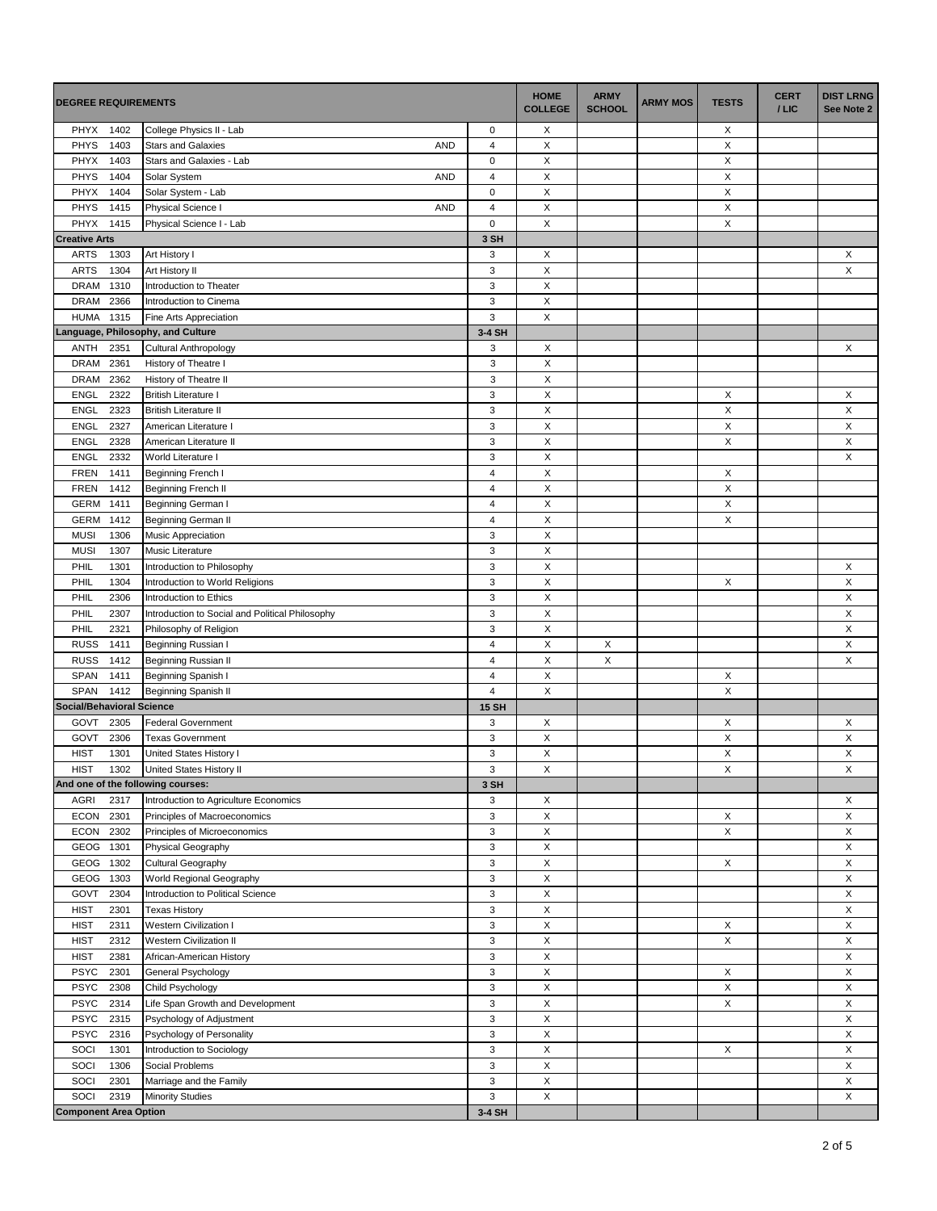| <b>DEGREE REQUIREMENTS</b>          |                                                 | <b>HOME</b><br><b>COLLEGE</b> | <b>ARMY</b><br><b>SCHOOL</b> | <b>ARMY MOS</b> | <b>TESTS</b> | <b>CERT</b><br>/LIC | <b>DIST LRNG</b><br>See Note 2 |             |
|-------------------------------------|-------------------------------------------------|-------------------------------|------------------------------|-----------------|--------------|---------------------|--------------------------------|-------------|
| <b>PHYX</b><br>1402                 | College Physics II - Lab                        | $\mathbf 0$                   | Х                            |                 |              | X                   |                                |             |
| 1403<br>PHYS                        | AND<br><b>Stars and Galaxies</b>                | $\overline{4}$                | X                            |                 |              | X                   |                                |             |
| PHYX<br>1403                        | Stars and Galaxies - Lab                        | $\mathbf 0$                   | X                            |                 |              | X                   |                                |             |
| <b>PHYS</b><br>1404                 | Solar System<br>AND                             | $\overline{\mathbf{4}}$       | X                            |                 |              | Χ                   |                                |             |
| PHYX<br>1404                        | Solar System - Lab                              | $\mathbf 0$                   | X                            |                 |              | X                   |                                |             |
| <b>PHYS</b><br>1415                 | Physical Science I<br>AND                       | 4                             | $\mathsf X$                  |                 |              | X                   |                                |             |
| PHYX<br>1415                        | Physical Science I - Lab                        | $\mathbf 0$                   | X                            |                 |              | X                   |                                |             |
| <b>Creative Arts</b>                |                                                 | 3 SH                          |                              |                 |              |                     |                                |             |
| 1303<br><b>ARTS</b>                 | Art History I                                   | 3                             | X                            |                 |              |                     |                                | X           |
| 1304<br><b>ARTS</b>                 | Art History II                                  | 3                             | X                            |                 |              |                     |                                | X           |
| 1310<br>DRAM                        | Introduction to Theater                         | 3                             | X                            |                 |              |                     |                                |             |
| <b>DRAM</b><br>2366                 | Introduction to Cinema                          | 3                             | $\mathsf X$                  |                 |              |                     |                                |             |
| 1315<br><b>HUMA</b>                 | Fine Arts Appreciation                          | 3                             | X                            |                 |              |                     |                                |             |
| Language, Philosophy, and Culture   |                                                 | 3-4 SH                        |                              |                 |              |                     |                                |             |
| 2351<br><b>ANTH</b>                 | Cultural Anthropology                           | 3                             | X                            |                 |              |                     |                                | X           |
| <b>DRAM</b><br>2361                 | History of Theatre I                            | 3                             | $\pmb{\times}$               |                 |              |                     |                                |             |
| <b>DRAM</b><br>2362                 | History of Theatre II                           | 3                             | $\mathsf X$                  |                 |              |                     |                                |             |
| 2322<br><b>ENGL</b>                 | <b>British Literature I</b>                     | 3                             | X                            |                 |              | Х                   |                                | X           |
| 2323<br><b>ENGL</b>                 | <b>British Literature II</b>                    | 3                             | X                            |                 |              | X                   |                                | X           |
| 2327<br>ENGL                        | American Literature I                           | 3                             | X                            |                 |              | X                   |                                | X           |
| 2328<br><b>ENGL</b>                 | American Literature II                          | 3                             | X                            |                 |              | X                   |                                | X           |
| 2332<br><b>ENGL</b>                 | World Literature I                              | 3                             | $\mathsf X$                  |                 |              |                     |                                | X           |
| 1411<br><b>FREN</b>                 | Beginning French I                              | 4                             | X                            |                 |              | Х                   |                                |             |
| <b>FREN</b><br>1412                 | Beginning French II                             | $\overline{4}$                | X                            |                 |              | X                   |                                |             |
| 1411<br>GERM                        | Beginning German I                              | $\overline{4}$                | X                            |                 |              | X                   |                                |             |
| <b>GERM</b><br>1412                 | Beginning German II                             | 4                             | X                            |                 |              | X                   |                                |             |
| <b>MUSI</b><br>1306                 | Music Appreciation                              | 3                             | X                            |                 |              |                     |                                |             |
| <b>MUSI</b><br>1307                 | Music Literature                                | 3                             | X                            |                 |              |                     |                                |             |
| 1301<br>PHIL                        | Introduction to Philosophy                      | 3                             | X                            |                 |              |                     |                                | X           |
| PHIL<br>1304                        | Introduction to World Religions                 | 3                             | $\pmb{\times}$               |                 |              | X                   |                                | X           |
| PHIL<br>2306                        | Introduction to Ethics                          | 3                             | X                            |                 |              |                     |                                | X           |
| 2307<br>PHIL                        | Introduction to Social and Political Philosophy | 3                             | $\pmb{\times}$               |                 |              |                     |                                | X           |
| <b>PHIL</b><br>2321                 | Philosophy of Religion                          | 3                             | X                            |                 |              |                     |                                | X           |
| <b>RUSS</b><br>1411                 | Beginning Russian I                             | 4                             | X                            | Х               |              |                     |                                | X           |
| <b>RUSS</b><br>1412                 | Beginning Russian II                            | $\overline{4}$                | X                            | X               |              |                     |                                | X           |
| <b>SPAN</b><br>1411<br>1412<br>SPAN | Beginning Spanish I                             | 4<br>$\overline{4}$           | X<br>X                       |                 |              | X<br>X              |                                |             |
| <b>Social/Behavioral Science</b>    | Beginning Spanish II                            | <b>15 SH</b>                  |                              |                 |              |                     |                                |             |
| 2305<br>GOVT                        | <b>Federal Government</b>                       | 3                             | X                            |                 |              | X                   |                                | X           |
| GOVT<br>2306                        | <b>Texas Government</b>                         | 3                             | X                            |                 |              | X                   |                                | X           |
| <b>HIST</b><br>1301                 | United States History I                         | 3                             | X                            |                 |              | X                   |                                | X           |
| <b>HIST</b>                         | 1302 United States History II                   | 3                             | х                            |                 |              | Χ                   |                                | Χ           |
| And one of the following courses:   |                                                 | 3 SH                          |                              |                 |              |                     |                                |             |
| AGRI<br>2317                        | Introduction to Agriculture Economics           | 3                             | X                            |                 |              |                     |                                | X           |
| ECON 2301                           | Principles of Macroeconomics                    | 3                             | $\mathsf X$                  |                 |              | X                   |                                | X           |
| 2302<br>ECON                        | Principles of Microeconomics                    | 3                             | $\mathsf X$                  |                 |              | X                   |                                | X           |
| GEOG 1301                           | Physical Geography                              | 3                             | $\mathsf X$                  |                 |              |                     |                                | X           |
| GEOG 1302                           | Cultural Geography                              | 3                             | X                            |                 |              | X                   |                                | X           |
| GEOG 1303                           | World Regional Geography                        | 3                             | $\mathsf X$                  |                 |              |                     |                                | X           |
| GOVT<br>2304                        | Introduction to Political Science               | 3                             | X                            |                 |              |                     |                                | X           |
| <b>HIST</b><br>2301                 | <b>Texas History</b>                            | 3                             | X                            |                 |              |                     |                                | X           |
| <b>HIST</b><br>2311                 | Western Civilization I                          | 3                             | X                            |                 |              | X                   |                                | X           |
| <b>HIST</b><br>2312                 | Western Civilization II                         | 3                             | X                            |                 |              | X                   |                                | X           |
| <b>HIST</b><br>2381                 | African-American History                        | 3                             | X                            |                 |              |                     |                                | $\mathsf X$ |
| <b>PSYC</b><br>2301                 | General Psychology                              | 3                             | X                            |                 |              | X                   |                                | X           |
| <b>PSYC</b><br>2308                 | Child Psychology                                | 3                             | X                            |                 |              | X                   |                                | X           |
| <b>PSYC</b><br>2314                 | Life Span Growth and Development                | 3                             | X                            |                 |              | X                   |                                | X           |
| <b>PSYC</b><br>2315                 | Psychology of Adjustment                        | 3                             | X                            |                 |              |                     |                                | X           |
| <b>PSYC</b><br>2316                 | Psychology of Personality                       | 3                             | X                            |                 |              |                     |                                | X           |
| SOCI<br>1301                        | Introduction to Sociology                       | 3                             | $\mathsf X$                  |                 |              | X                   |                                | X           |
| SOCI<br>1306                        | Social Problems                                 | 3                             | X                            |                 |              |                     |                                | X           |
| SOCI<br>2301                        | Marriage and the Family                         | 3                             | X                            |                 |              |                     |                                | X           |
| SOCI<br>2319                        | <b>Minority Studies</b>                         | 3                             | X                            |                 |              |                     |                                | X           |
| <b>Component Area Option</b>        |                                                 | 3-4 SH                        |                              |                 |              |                     |                                |             |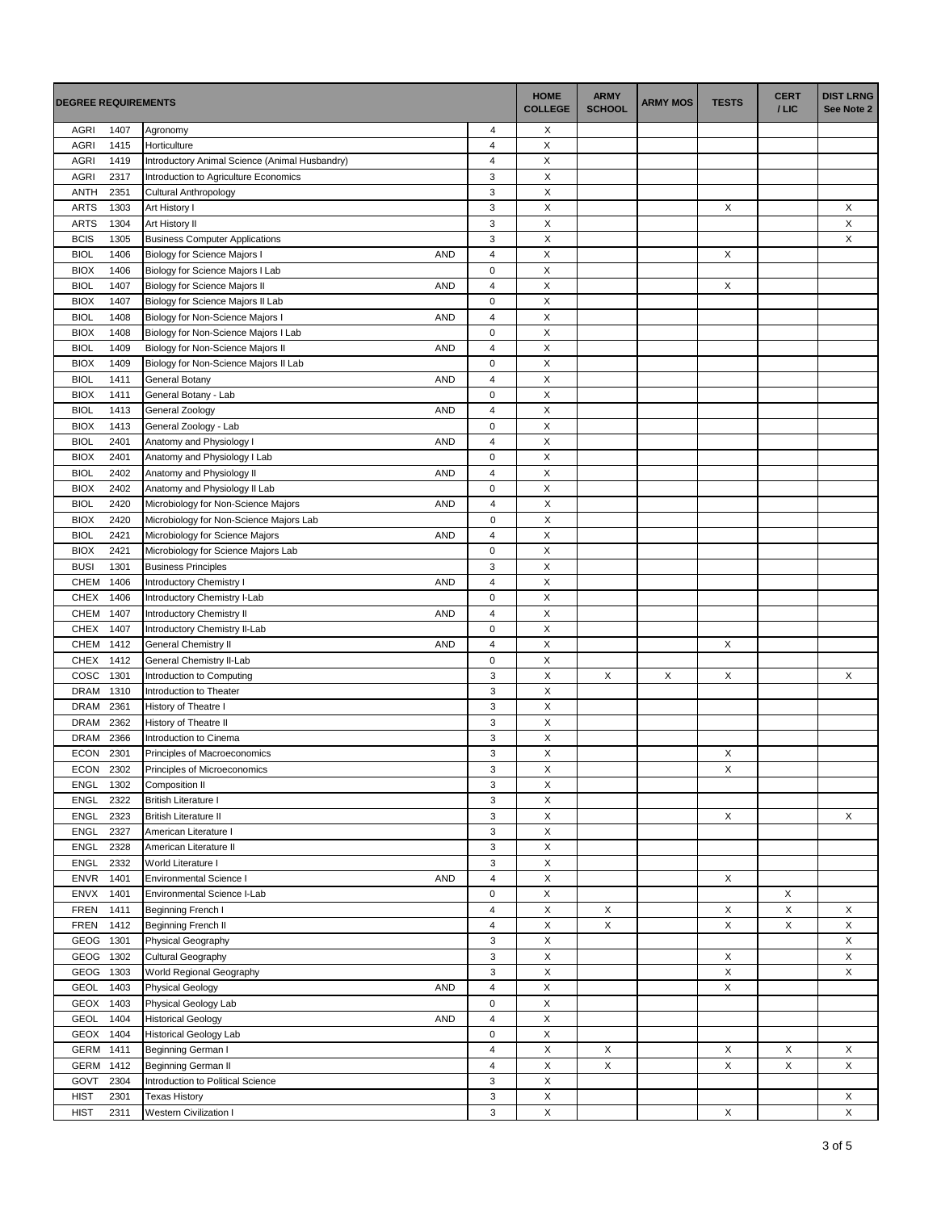| <b>DEGREE REQUIREMENTS</b> |              | <b>HOME</b><br><b>COLLEGE</b>                                                       | <b>ARMY</b><br><b>SCHOOL</b> | <b>ARMY MOS</b>            | <b>TESTS</b> | <b>CERT</b><br>/LIC | <b>DIST LRNG</b><br>See Note 2 |   |   |
|----------------------------|--------------|-------------------------------------------------------------------------------------|------------------------------|----------------------------|--------------|---------------------|--------------------------------|---|---|
| <b>AGRI</b>                | 1407         | Agronomy                                                                            | 4                            | Х                          |              |                     |                                |   |   |
| <b>AGRI</b>                | 1415         | Horticulture                                                                        | $\overline{4}$               | X                          |              |                     |                                |   |   |
| <b>AGRI</b>                | 1419         | Introductory Animal Science (Animal Husbandry)                                      | $\overline{\mathbf{4}}$      | X                          |              |                     |                                |   |   |
| <b>AGRI</b>                | 2317         | Introduction to Agriculture Economics                                               | 3                            | X                          |              |                     |                                |   |   |
| <b>ANTH</b>                | 2351         | Cultural Anthropology                                                               | 3                            | X                          |              |                     |                                |   |   |
| <b>ARTS</b>                | 1303         | Art History I                                                                       | 3                            | $\pmb{\times}$             |              |                     | X                              |   | X |
| <b>ARTS</b>                | 1304         | Art History II                                                                      | 3                            | X                          |              |                     |                                |   | X |
| <b>BCIS</b>                | 1305         | <b>Business Computer Applications</b>                                               | 3                            | X                          |              |                     |                                |   | X |
| <b>BIOL</b>                | 1406         | <b>Biology for Science Majors I</b><br><b>AND</b>                                   | $\overline{\mathbf{4}}$      | X                          |              |                     | X                              |   |   |
| <b>BIOX</b>                | 1406         | Biology for Science Majors I Lab                                                    | 0                            | X                          |              |                     |                                |   |   |
| <b>BIOL</b><br><b>BIOX</b> | 1407<br>1407 | Biology for Science Majors II<br><b>AND</b>                                         | $\overline{\mathbf{4}}$<br>0 | X<br>$\mathsf X$           |              |                     | X                              |   |   |
| <b>BIOL</b>                | 1408         | Biology for Science Majors II Lab<br>Biology for Non-Science Majors I<br><b>AND</b> | 4                            | X                          |              |                     |                                |   |   |
| <b>BIOX</b>                | 1408         | Biology for Non-Science Majors I Lab                                                | 0                            | X                          |              |                     |                                |   |   |
| <b>BIOL</b>                | 1409         | Biology for Non-Science Majors II<br><b>AND</b>                                     | $\overline{4}$               | X                          |              |                     |                                |   |   |
| <b>BIOX</b>                | 1409         | Biology for Non-Science Majors II Lab                                               | 0                            | $\pmb{\times}$             |              |                     |                                |   |   |
| <b>BIOL</b>                | 1411         | <b>AND</b><br>General Botany                                                        | $\overline{4}$               | $\mathsf X$                |              |                     |                                |   |   |
| <b>BIOX</b>                | 1411         | General Botany - Lab                                                                | 0                            | X                          |              |                     |                                |   |   |
| <b>BIOL</b>                | 1413         | AND<br>General Zoology                                                              | $\overline{4}$               | X                          |              |                     |                                |   |   |
| <b>BIOX</b>                | 1413         | General Zoology - Lab                                                               | $\mathsf 0$                  | X                          |              |                     |                                |   |   |
| <b>BIOL</b>                | 2401         | Anatomy and Physiology I<br><b>AND</b>                                              | $\overline{\mathbf{4}}$      | X                          |              |                     |                                |   |   |
| <b>BIOX</b>                | 2401         | Anatomy and Physiology I Lab                                                        | 0                            | $\mathsf X$                |              |                     |                                |   |   |
| <b>BIOL</b>                | 2402         | Anatomy and Physiology II<br><b>AND</b>                                             | $\overline{\mathbf{4}}$      | X                          |              |                     |                                |   |   |
| <b>BIOX</b>                | 2402         | Anatomy and Physiology II Lab                                                       | 0                            | X                          |              |                     |                                |   |   |
| <b>BIOL</b>                | 2420         | Microbiology for Non-Science Majors<br><b>AND</b>                                   | $\overline{4}$               | X                          |              |                     |                                |   |   |
| <b>BIOX</b>                | 2420         | Microbiology for Non-Science Majors Lab                                             | $\mathsf 0$                  | X                          |              |                     |                                |   |   |
| <b>BIOL</b>                | 2421         | <b>AND</b><br>Microbiology for Science Majors                                       | $\overline{4}$               | X                          |              |                     |                                |   |   |
| <b>BIOX</b>                | 2421         | Microbiology for Science Majors Lab                                                 | 0                            | X                          |              |                     |                                |   |   |
| <b>BUSI</b>                | 1301         | <b>Business Principles</b>                                                          | 3                            | X                          |              |                     |                                |   |   |
| CHEM                       | 1406         | Introductory Chemistry I<br><b>AND</b>                                              | $\overline{4}$               | X                          |              |                     |                                |   |   |
| <b>CHEX</b>                | 1406         | Introductory Chemistry I-Lab                                                        | $\pmb{0}$                    | X                          |              |                     |                                |   |   |
| CHEM                       | 1407         | Introductory Chemistry II<br>AND                                                    | $\overline{4}$               | X                          |              |                     |                                |   |   |
| CHEX                       | 1407         | Introductory Chemistry II-Lab                                                       | 0                            | X                          |              |                     |                                |   |   |
| CHEM 1412                  |              | General Chemistry II<br><b>AND</b>                                                  | 4                            | X                          |              |                     | X                              |   |   |
| CHEX                       | 1412         | General Chemistry II-Lab                                                            | 0                            | X                          |              |                     |                                |   |   |
| COSC                       | 1301         | Introduction to Computing                                                           | 3                            | X                          | X            | X                   | X                              |   | X |
| DRAM                       | 1310         | Introduction to Theater                                                             | 3                            | X                          |              |                     |                                |   |   |
| DRAM 2361                  |              | History of Theatre I                                                                | 3                            | X                          |              |                     |                                |   |   |
| DRAM 2362                  |              | History of Theatre II                                                               | $\ensuremath{\mathsf{3}}$    | X                          |              |                     |                                |   |   |
| DRAM                       | 2366         | Introduction to Cinema                                                              | 3                            | X                          |              |                     |                                |   |   |
| ECON 2301                  |              | Principles of Macroeconomics                                                        | 3                            | X                          |              |                     | X                              |   |   |
| ECON                       | 2302         | Principles of Microeconomics                                                        | 3                            | X.                         |              |                     | Χ                              |   |   |
| ENGL                       | 1302         | Composition II                                                                      | 3                            | X                          |              |                     |                                |   |   |
| ENGL                       | 2322         | <b>British Literature I</b>                                                         | 3                            | X                          |              |                     |                                |   |   |
| ENGL                       | 2323         | <b>British Literature II</b>                                                        | 3                            | $\mathsf X$                |              |                     | X                              |   | X |
| <b>ENGL</b>                | 2327         | American Literature I                                                               | $\ensuremath{\mathsf{3}}$    | X                          |              |                     |                                |   |   |
| <b>ENGL</b>                | 2328         | American Literature II                                                              | 3                            | $\mathsf X$                |              |                     |                                |   |   |
| ENGL                       | 2332         | World Literature I                                                                  | 3                            | $\mathsf X$                |              |                     |                                |   |   |
| ENVR 1401                  |              | Environmental Science I<br>AND                                                      | $\overline{4}$               | $\mathsf X$                |              |                     | X                              |   |   |
| ENVX                       | 1401         | Environmental Science I-Lab                                                         | 0                            | X                          |              |                     |                                | X |   |
| FREN                       | 1411         | Beginning French I                                                                  | 4                            | X                          | X            |                     | X                              | X | X |
| FREN                       | 1412         | Beginning French II                                                                 | $\overline{4}$               | X                          | X            |                     | X                              | X | X |
| GEOG 1301                  |              | Physical Geography                                                                  | 3                            | X                          |              |                     |                                |   | X |
| GEOG 1302                  |              | <b>Cultural Geography</b>                                                           | 3                            | X                          |              |                     | X                              |   | X |
| GEOG 1303                  |              | World Regional Geography                                                            | 3                            | $\mathsf X$                |              |                     | X                              |   | X |
| <b>GEOL</b>                | 1403         | Physical Geology<br>AND                                                             | 4                            | $\mathsf X$                |              |                     | X                              |   |   |
| GEOX                       | 1403         | Physical Geology Lab                                                                | 0                            | X                          |              |                     |                                |   |   |
| GEOL                       | 1404         | <b>Historical Geology</b><br><b>AND</b>                                             | 4                            | X                          |              |                     |                                |   |   |
| GEOX                       | 1404         | Historical Geology Lab                                                              | 0                            | X                          |              |                     |                                |   |   |
| GERM 1411                  |              | Beginning German I                                                                  | $\overline{\mathbf{4}}$      | $\mathsf X$                | X            |                     | X                              | X | X |
| GERM 1412                  |              | Beginning German II                                                                 | 4                            | X                          | $\mathsf X$  |                     | X                              | X | X |
| GOVT                       | 2304         | Introduction to Political Science                                                   | 3                            | $\mathsf X$                |              |                     |                                |   |   |
| <b>HIST</b>                | 2301         | Texas History                                                                       | 3                            | $\mathsf X$<br>$\mathsf X$ |              |                     |                                |   | X |
| <b>HIST</b>                | 2311         | Western Civilization I                                                              | 3                            |                            |              |                     | $\mathsf X$                    |   | X |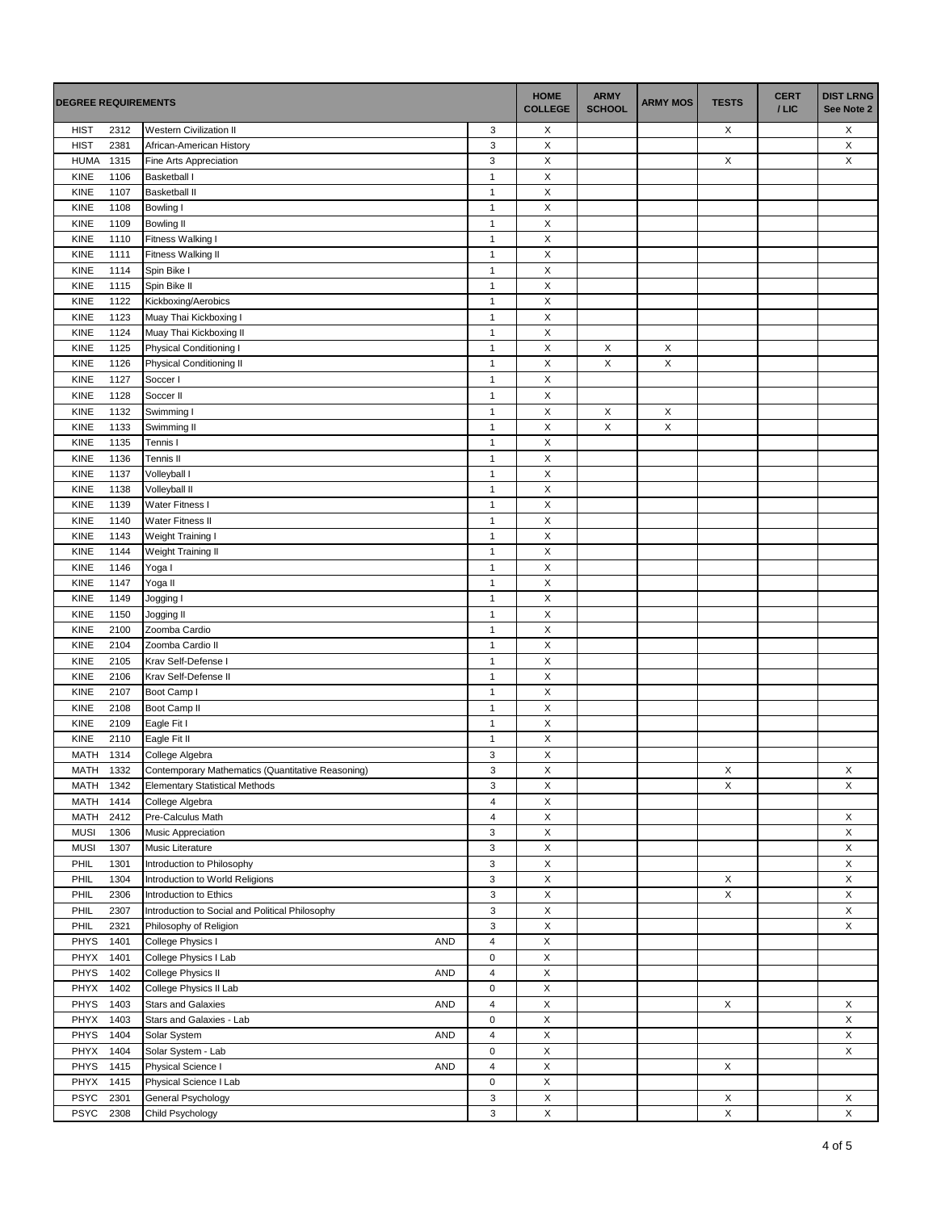| <b>DEGREE REQUIREMENTS</b>          |                                                                     | <b>HOME</b><br><b>COLLEGE</b> | <b>ARMY</b><br><b>SCHOOL</b> | <b>ARMY MOS</b> | <b>TESTS</b> | <b>CERT</b><br>/LIC | <b>DIST LRNG</b><br>See Note 2 |             |
|-------------------------------------|---------------------------------------------------------------------|-------------------------------|------------------------------|-----------------|--------------|---------------------|--------------------------------|-------------|
| <b>HIST</b><br>2312                 | Western Civilization II                                             | 3                             | X                            |                 |              | X                   |                                | X           |
| <b>HIST</b><br>2381                 | African-American History                                            | 3                             | X                            |                 |              |                     |                                | X           |
| <b>HUMA</b><br>1315                 | Fine Arts Appreciation                                              | 3                             | X                            |                 |              | Х                   |                                | X           |
| <b>KINE</b><br>1106                 | <b>Basketball I</b>                                                 | $\mathbf{1}$                  | X                            |                 |              |                     |                                |             |
| 1107<br>KINE                        | <b>Basketball II</b>                                                | $\mathbf{1}$                  | X                            |                 |              |                     |                                |             |
| KINE<br>1108                        | Bowling I                                                           | $\mathbf{1}$                  | X                            |                 |              |                     |                                |             |
| KINE<br>1109                        | <b>Bowling II</b>                                                   | $\mathbf{1}$                  | X                            |                 |              |                     |                                |             |
| 1110<br>KINE                        | Fitness Walking I                                                   | $\mathbf{1}$                  | X                            |                 |              |                     |                                |             |
| 1111<br>KINE                        | Fitness Walking II                                                  | $\mathbf{1}$                  | X                            |                 |              |                     |                                |             |
| KINE<br>1114                        | Spin Bike I                                                         | $\mathbf{1}$                  | X                            |                 |              |                     |                                |             |
| 1115<br>KINE                        | Spin Bike II                                                        | $\mathbf{1}$                  | X                            |                 |              |                     |                                |             |
| 1122<br>KINE                        | Kickboxing/Aerobics                                                 | $\mathbf{1}$                  | $\mathsf X$                  |                 |              |                     |                                |             |
| KINE<br>1123                        | Muay Thai Kickboxing I                                              | $\mathbf{1}$                  | X                            |                 |              |                     |                                |             |
| KINE<br>1124                        | Muay Thai Kickboxing II                                             | $\mathbf{1}$                  | X                            |                 |              |                     |                                |             |
| KINE<br>1125                        | Physical Conditioning I                                             | $\mathbf{1}$                  | X                            | X               | X            |                     |                                |             |
| 1126<br>KINE                        | Physical Conditioning II                                            | $\mathbf{1}$                  | $\mathsf X$                  | $\sf X$         | $\mathsf{X}$ |                     |                                |             |
| 1127<br>KINE                        | Soccer I                                                            | $\mathbf{1}$                  | $\mathsf X$                  |                 |              |                     |                                |             |
| KINE<br>1128                        | Soccer II                                                           | 1                             | X                            |                 |              |                     |                                |             |
| 1132<br>KINE                        | Swimming I                                                          | $\mathbf{1}$                  | $\mathsf X$                  | X               | X            |                     |                                |             |
| KINE<br>1133                        | Swimming II                                                         | 1                             | X                            | X               | X            |                     |                                |             |
| KINE<br>1135                        | Tennis I                                                            | $\mathbf{1}$                  | X                            |                 |              |                     |                                |             |
| 1136<br>KINE                        | Tennis II                                                           | 1                             | X                            |                 |              |                     |                                |             |
| KINE<br>1137                        | Volleyball I                                                        | $\mathbf{1}$                  | $\pmb{\times}$               |                 |              |                     |                                |             |
| 1138<br>KINE                        | Volleyball II                                                       | $\mathbf{1}$                  | $\mathsf X$                  |                 |              |                     |                                |             |
| 1139<br>KINE                        | Water Fitness I                                                     | 1                             | X                            |                 |              |                     |                                |             |
| KINE<br>1140                        | <b>Water Fitness II</b>                                             | $\mathbf{1}$                  | X                            |                 |              |                     |                                |             |
| 1143<br>KINE                        | Weight Training I                                                   | $\mathbf{1}$                  | X                            |                 |              |                     |                                |             |
| KINE<br>1144                        | Weight Training II                                                  | $\mathbf{1}$                  | X                            |                 |              |                     |                                |             |
| 1146<br>KINE                        | Yoga I                                                              | $\mathbf{1}$                  | $\mathsf X$                  |                 |              |                     |                                |             |
| KINE<br>1147                        | Yoga II                                                             | 1                             | X                            |                 |              |                     |                                |             |
| KINE<br>1149                        | Jogging I                                                           | $\mathbf{1}$                  | X                            |                 |              |                     |                                |             |
| 1150<br>KINE                        | Jogging II                                                          | 1                             | X                            |                 |              |                     |                                |             |
| 2100<br>KINE                        | Zoomba Cardio                                                       | $\mathbf{1}$                  | X                            |                 |              |                     |                                |             |
| 2104<br>KINE                        | Zoomba Cardio II                                                    | $\mathbf{1}$                  | X                            |                 |              |                     |                                |             |
| KINE<br>2105                        | Krav Self-Defense I                                                 | $\mathbf{1}$                  | X                            |                 |              |                     |                                |             |
| KINE<br>2106                        | Krav Self-Defense II                                                | $\mathbf{1}$                  | X                            |                 |              |                     |                                |             |
| KINE<br>2107                        | Boot Camp I                                                         | $\mathbf{1}$                  | X                            |                 |              |                     |                                |             |
| KINE<br>2108                        | Boot Camp II                                                        | 1                             | X                            |                 |              |                     |                                |             |
| 2109<br>KINE                        | Eagle Fit I                                                         | $\mathbf{1}$                  | $\mathsf X$                  |                 |              |                     |                                |             |
| KINE<br>2110                        | Eagle Fit II                                                        | 1                             | X                            |                 |              |                     |                                |             |
| MATH<br>1314                        | College Algebra                                                     | 3                             | X                            |                 |              |                     |                                |             |
| MATH<br>1332                        | Contemporary Mathematics (Quantitative Reasoning)                   | 3                             | X                            |                 |              | X                   |                                | X           |
| MATH<br>1342                        | <b>Elementary Statistical Methods</b>                               | 3                             | X                            |                 |              | X                   |                                | X           |
| MATH<br>1414                        | College Algebra                                                     | $\overline{4}$                | $\mathsf X$                  |                 |              |                     |                                |             |
| MATH<br>2412                        | Pre-Calculus Math                                                   | 4                             | X                            |                 |              |                     |                                | X           |
| <b>MUSI</b><br>1306                 | Music Appreciation                                                  | 3                             | X                            |                 |              |                     |                                | X           |
| <b>MUSI</b><br>1307                 | Music Literature                                                    | 3                             | $\mathsf X$                  |                 |              |                     |                                | X           |
| PHIL<br>1301                        | Introduction to Philosophy                                          | 3                             | X                            |                 |              |                     |                                | X           |
| PHIL<br>1304                        | Introduction to World Religions                                     | 3                             | $\mathsf X$                  |                 |              | X                   |                                | X           |
| PHIL<br>2306                        | Introduction to Ethics                                              | 3                             | X                            |                 |              | X                   |                                | X           |
| PHIL<br>2307                        | Introduction to Social and Political Philosophy                     | $\ensuremath{\mathsf{3}}$     | $\mathsf X$                  |                 |              |                     |                                | X           |
| PHIL<br>2321                        |                                                                     | 3                             | $\mathsf X$                  |                 |              |                     |                                | X           |
| PHYS<br>1401                        | Philosophy of Religion<br>College Physics I<br>AND                  | $\overline{4}$                | $\mathsf X$                  |                 |              |                     |                                |             |
| PHYX                                | College Physics I Lab                                               | 0                             | $\mathsf X$                  |                 |              |                     |                                |             |
| 1401                                |                                                                     |                               |                              |                 |              |                     |                                |             |
| <b>PHYS</b><br>1402<br>PHYX<br>1402 | College Physics II<br><b>AND</b>                                    | 4<br>0                        | X<br>$\mathsf X$             |                 |              |                     |                                |             |
|                                     | College Physics II Lab                                              |                               |                              |                 |              |                     |                                |             |
| <b>PHYS</b><br>1403<br>PHYX         | <b>Stars and Galaxies</b><br><b>AND</b><br>Stars and Galaxies - Lab | $\overline{\mathbf{4}}$       | $\mathsf X$                  |                 |              | X                   |                                | X           |
| 1403                                |                                                                     | 0                             | $\mathsf X$                  |                 |              |                     |                                | X           |
| PHYS<br>1404                        | Solar System<br><b>AND</b>                                          | $\overline{4}$                | $\mathsf X$                  |                 |              |                     |                                | X           |
| PHYX<br>1404                        | Solar System - Lab                                                  | 0                             | X                            |                 |              |                     |                                | X           |
| <b>PHYS</b><br>1415                 | Physical Science I<br><b>AND</b>                                    | 4                             | $\mathsf X$                  |                 |              | X                   |                                |             |
| PHYX<br>1415                        | Physical Science I Lab                                              | 0                             | $\mathsf X$                  |                 |              |                     |                                |             |
| <b>PSYC</b><br>2301                 | General Psychology                                                  | 3                             | X                            |                 |              | X                   |                                | X           |
| <b>PSYC</b><br>2308                 | Child Psychology                                                    | 3                             | $\mathsf X$                  |                 |              | $\mathsf X$         |                                | $\mathsf X$ |